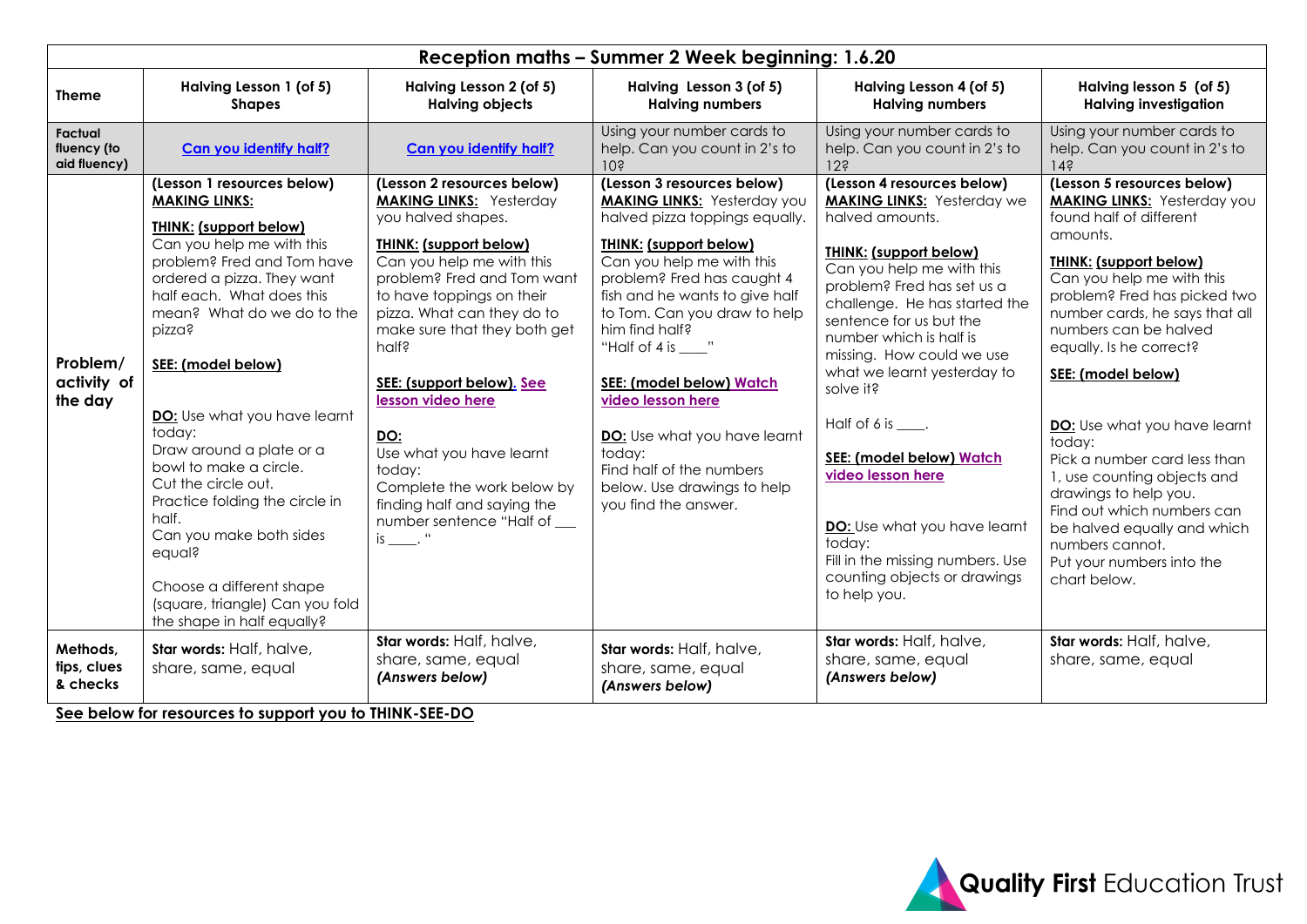|                                               | Halving Lesson 1 (of 5)                                                                                                                                                                                                                                                                                                                                                                                                                                                                                                                                                     |                                                                                                                                                                                                                                                                                                                                                                                                                                                                                                    |                                                                                                                                                                                                                                                                                                                                                                                                                                                                                        |                                                                                                                                                                                                                                                                                                                                                                                                                                                                                                                                                      |                                                                                                                                                                                                                                                                                                                                                                                                                                                                                                                                                                                  |
|-----------------------------------------------|-----------------------------------------------------------------------------------------------------------------------------------------------------------------------------------------------------------------------------------------------------------------------------------------------------------------------------------------------------------------------------------------------------------------------------------------------------------------------------------------------------------------------------------------------------------------------------|----------------------------------------------------------------------------------------------------------------------------------------------------------------------------------------------------------------------------------------------------------------------------------------------------------------------------------------------------------------------------------------------------------------------------------------------------------------------------------------------------|----------------------------------------------------------------------------------------------------------------------------------------------------------------------------------------------------------------------------------------------------------------------------------------------------------------------------------------------------------------------------------------------------------------------------------------------------------------------------------------|------------------------------------------------------------------------------------------------------------------------------------------------------------------------------------------------------------------------------------------------------------------------------------------------------------------------------------------------------------------------------------------------------------------------------------------------------------------------------------------------------------------------------------------------------|----------------------------------------------------------------------------------------------------------------------------------------------------------------------------------------------------------------------------------------------------------------------------------------------------------------------------------------------------------------------------------------------------------------------------------------------------------------------------------------------------------------------------------------------------------------------------------|
| <b>Theme</b>                                  | <b>Shapes</b>                                                                                                                                                                                                                                                                                                                                                                                                                                                                                                                                                               | Halving Lesson 2 (of 5)<br><b>Halving objects</b>                                                                                                                                                                                                                                                                                                                                                                                                                                                  | Halving Lesson 3 (of 5)<br><b>Halving numbers</b>                                                                                                                                                                                                                                                                                                                                                                                                                                      | Halving Lesson 4 (of 5)<br><b>Halving numbers</b>                                                                                                                                                                                                                                                                                                                                                                                                                                                                                                    | Halving lesson 5 (of 5)<br><b>Halving investigation</b>                                                                                                                                                                                                                                                                                                                                                                                                                                                                                                                          |
| <b>Factual</b><br>fluency (to<br>aid fluency) | Can you identify half?                                                                                                                                                                                                                                                                                                                                                                                                                                                                                                                                                      | Can you identify half?                                                                                                                                                                                                                                                                                                                                                                                                                                                                             | Using your number cards to<br>help. Can you count in 2's to<br>10 <sub>5</sub>                                                                                                                                                                                                                                                                                                                                                                                                         | Using your number cards to<br>help. Can you count in 2's to<br>12 <sup>5</sup>                                                                                                                                                                                                                                                                                                                                                                                                                                                                       | Using your number cards to<br>help. Can you count in 2's to<br>14?                                                                                                                                                                                                                                                                                                                                                                                                                                                                                                               |
| Problem/<br>activity of<br>the day            | (Lesson 1 resources below)<br><b>MAKING LINKS:</b><br><b>THINK: (support below)</b><br>Can you help me with this<br>problem? Fred and Tom have<br>ordered a pizza. They want<br>half each. What does this<br>mean? What do we do to the<br>pizza?<br>SEE: (model below)<br>DO: Use what you have learnt<br>today:<br>Draw around a plate or a<br>bowl to make a circle.<br>Cut the circle out.<br>Practice folding the circle in<br>half.<br>Can you make both sides<br>equal?<br>Choose a different shape<br>(square, triangle) Can you fold<br>the shape in half equally? | (Lesson 2 resources below)<br><b>MAKING LINKS:</b> Yesterday<br>you halved shapes.<br><b>THINK: (support below)</b><br>Can you help me with this<br>problem? Fred and Tom want<br>to have toppings on their<br>pizza. What can they do to<br>make sure that they both get<br>half?<br>SEE: (support below). See<br>lesson video here<br><u>DO:</u><br>Use what you have learnt<br>today:<br>Complete the work below by<br>finding half and saying the<br>number sentence "Half of<br>$is \_\_\$ ." | (Lesson 3 resources below)<br><b>MAKING LINKS:</b> Yesterday you<br>halved pizza toppings equally.<br><b>THINK: (support below)</b><br>Can you help me with this<br>problem? Fred has caught 4<br>fish and he wants to give half<br>to Tom. Can you draw to help<br>him find half?<br>"Half of 4 is ___"<br>SEE: (model below) Watch<br>video lesson here<br>DO: Use what you have learnt<br>today:<br>Find half of the numbers<br>below. Use drawings to help<br>you find the answer. | (Lesson 4 resources below)<br><b>MAKING LINKS:</b> Yesterday we<br>halved amounts.<br><b>THINK: (support below)</b><br>Can you help me with this<br>problem? Fred has set us a<br>challenge. He has started the<br>sentence for us but the<br>number which is half is<br>missing. How could we use<br>what we learnt yesterday to<br>solve it?<br>Half of 6 is _____.<br>SEE: (model below) Watch<br>video lesson here<br>DO: Use what you have learnt<br>today:<br>Fill in the missing numbers. Use<br>counting objects or drawings<br>to help you. | (Lesson 5 resources below)<br><b>MAKING LINKS:</b> Yesterday you<br>found half of different<br>amounts.<br><b>THINK: (support below)</b><br>Can you help me with this<br>problem? Fred has picked two<br>number cards, he says that all<br>numbers can be halved<br>equally. Is he correct?<br>SEE: (model below)<br>DO: Use what you have learnt<br>today:<br>Pick a number card less than<br>1, use counting objects and<br>drawings to help you.<br>Find out which numbers can<br>be halved equally and which<br>numbers cannot.<br>Put your numbers into the<br>chart below. |
| Methods,<br>tips, clues<br>& checks           | Star words: Half, halve,<br>share, same, equal<br>See below for resources to support you to TUINIK SEE DO                                                                                                                                                                                                                                                                                                                                                                                                                                                                   | Star words: Half, halve,<br>share, same, equal<br>(Answers below)                                                                                                                                                                                                                                                                                                                                                                                                                                  | Star words: Half, halve,<br>share, same, equal<br>(Answers below)                                                                                                                                                                                                                                                                                                                                                                                                                      | Star words: Half, halve,<br>share, same, equal<br>(Answers below)                                                                                                                                                                                                                                                                                                                                                                                                                                                                                    | Star words: Half, halve,<br>share, same, equal                                                                                                                                                                                                                                                                                                                                                                                                                                                                                                                                   |

**See below for resources to support you to THINK-SEE-DO**

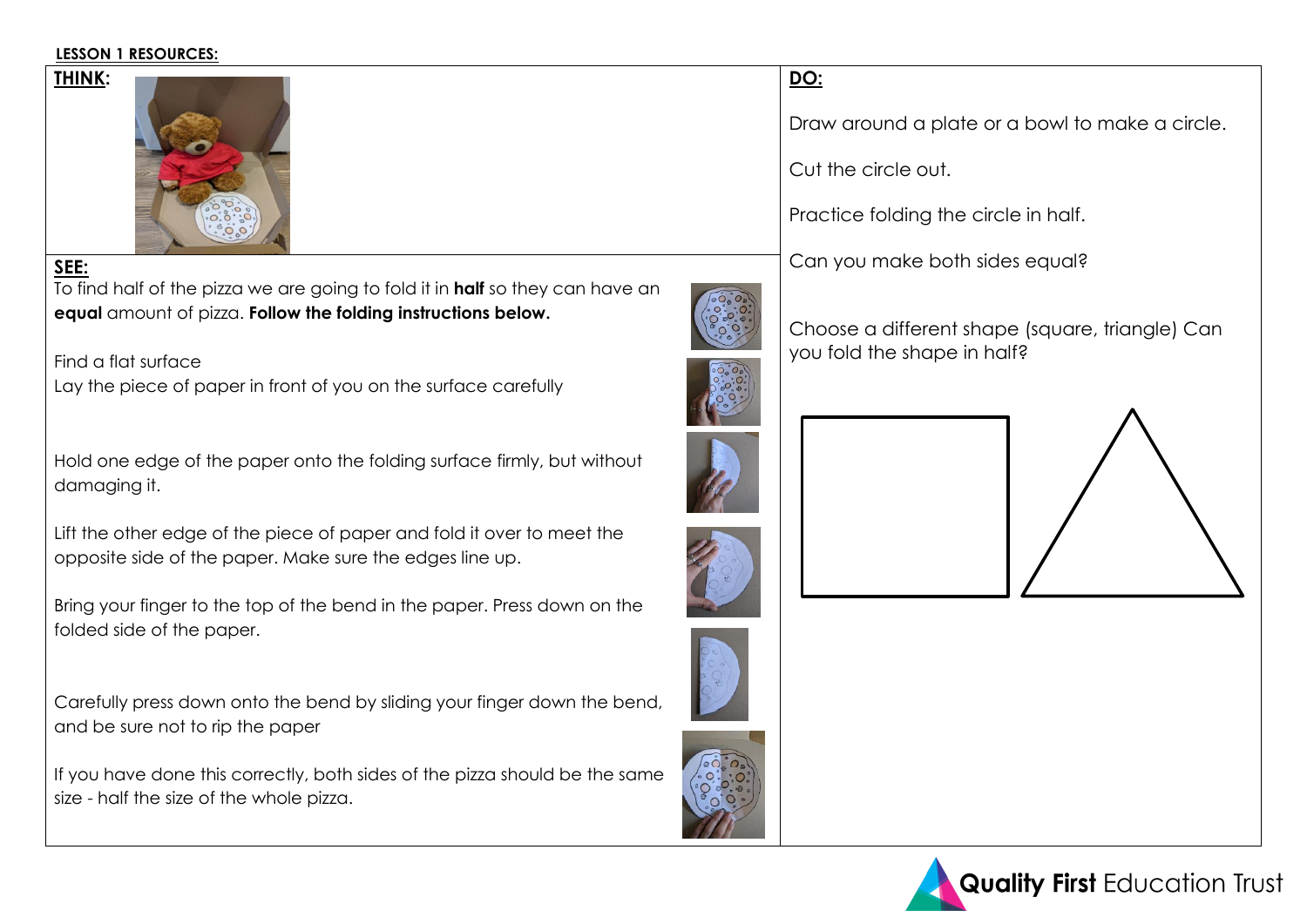### **LESSON 1 RESOURCES:**



**SEE:** 

To find half of the pizza we are going to fold it in **half** so they can have an **equal** amount of pizza. **Follow the folding instructions below.**

Find a flat surface Lay the piece of paper in front of you on the surface carefully

Hold one edge of the paper onto the folding surface firmly, but without damaging it.

Lift the other edge of the piece of paper and fold it over to meet the opposite side of the paper. Make sure the edges line up.

Bring your finger to the top of the bend in the paper. Press down on the folded side of the paper.

Carefully press down onto the bend by sliding your finger down the bend, and be sure not to rip the paper

If you have done this correctly, both sides of the pizza should be the same size - half the size of the whole pizza.

Draw around a plate or a bowl to make a circle.

Cut the circle out.

Practice folding the circle in half.

Can you make both sides equal?



Choose a different shape (square, triangle) Can you fold the shape in half?











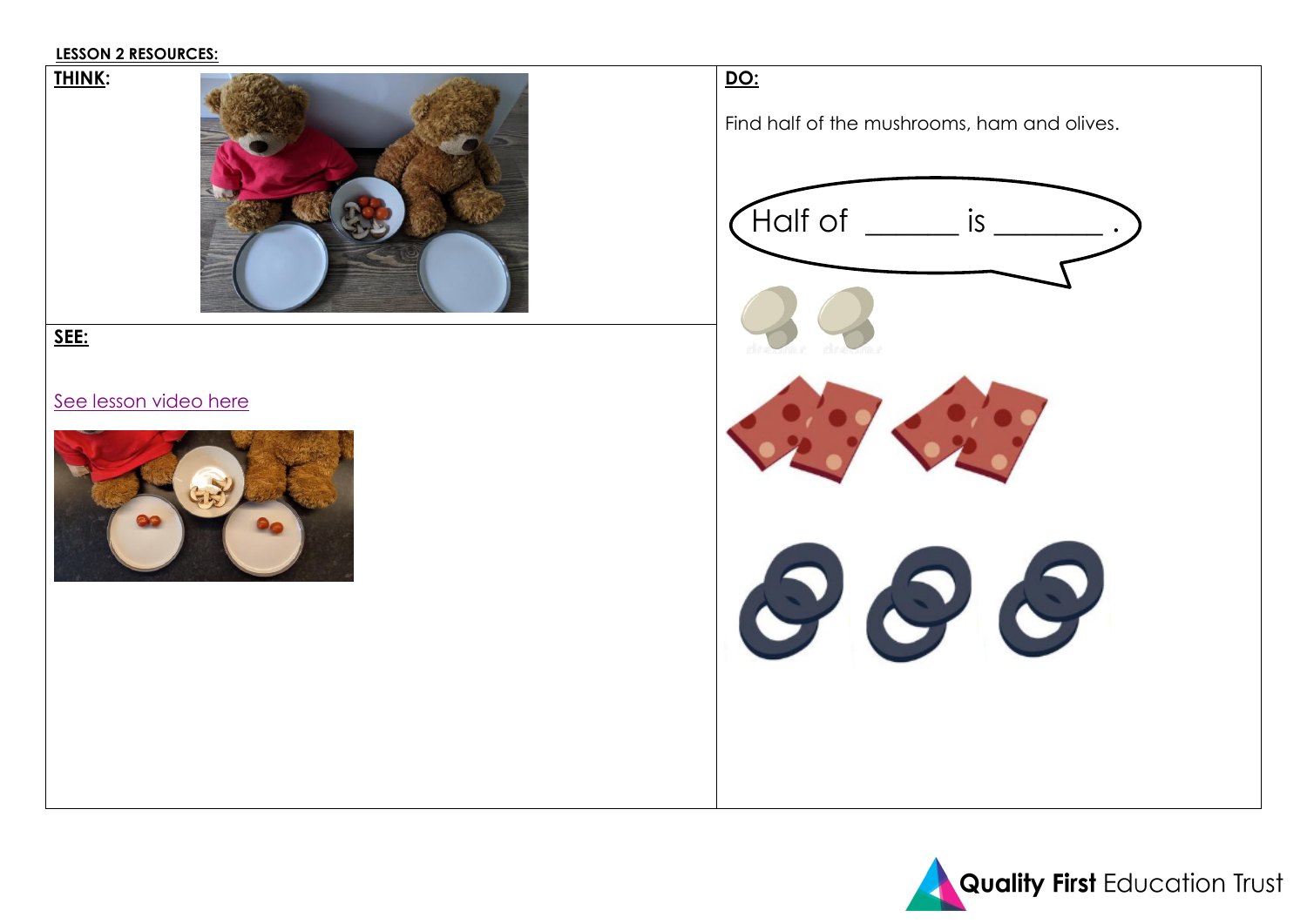#### **LESSON 2 RESOURCES:**



**SEE:** 

# [See lesson video here](https://vimeo.com/419809765/ce616024ec)



Find half of the mushrooms, ham and olives.



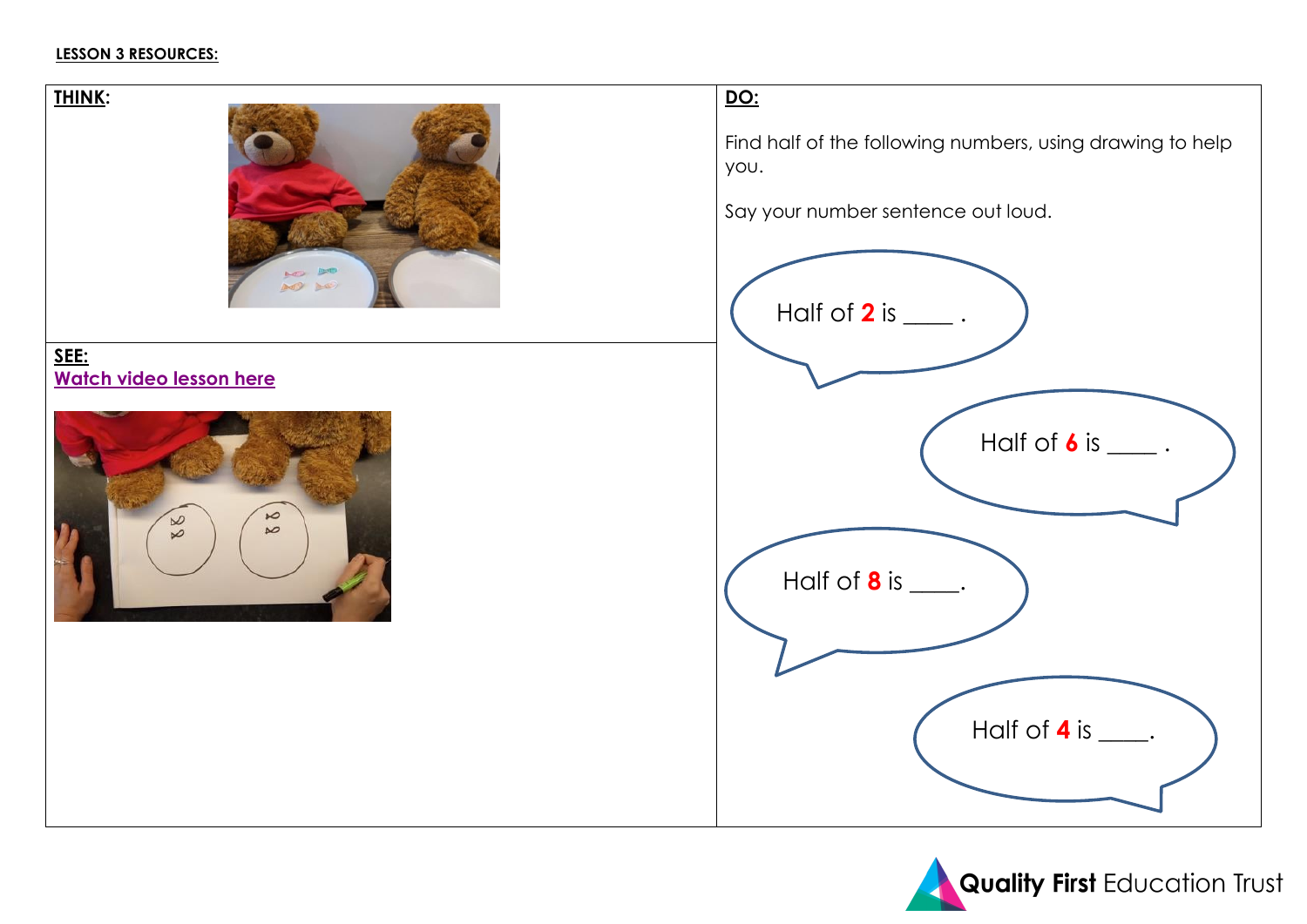#### **LESSON 3 RESOURCES:**



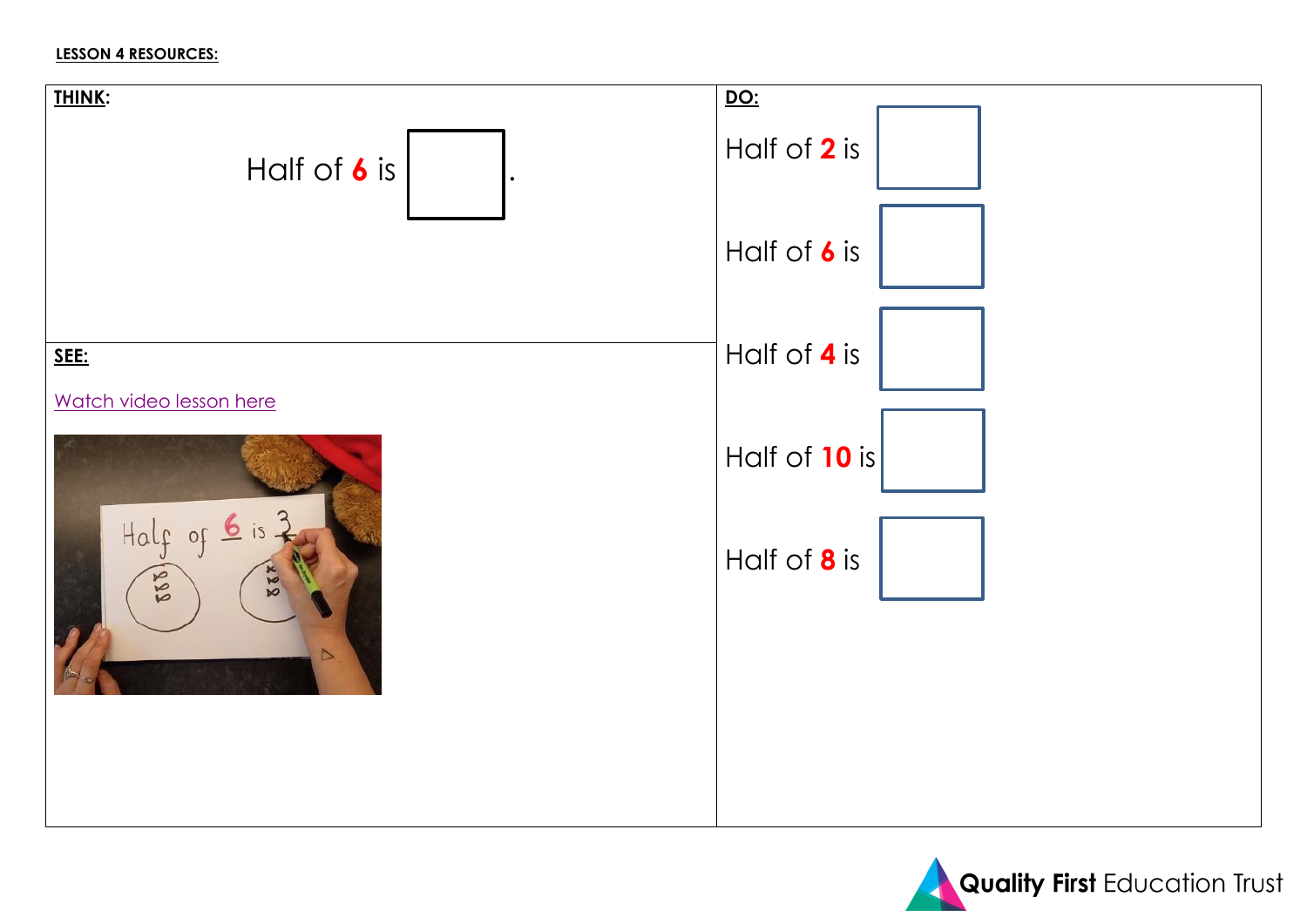### **LESSON 4 RESOURCES:**



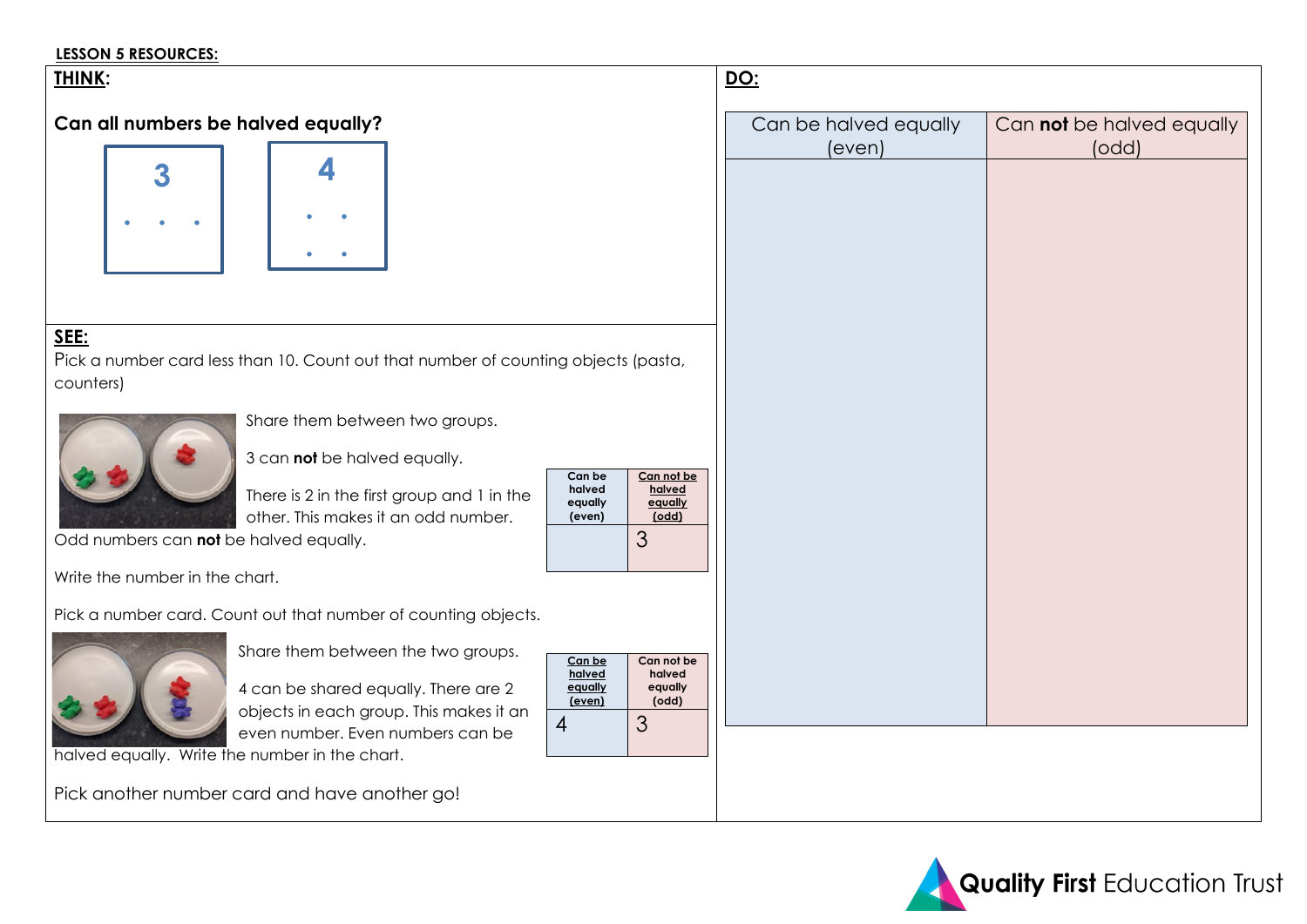### **LESSON 5 RESOURCES:**

## **THINK:**





# **SEE:**

Pick a number card less than 10. Count out that number of counting objects (pasta, counters)



Share them between two groups.

3 can **not** be halved equally.

There is 2 in the first group and 1 in the other. This makes it an odd number.

Odd numbers can **not** be halved equally.

Write the number in the chart.

Pick a number card. Count out that number of counting objects.



Share them between the two groups.

4 can be shared equally. There are 2 objects in each group. This makes it an even number. Even numbers can be

halved equally. Write the number in the chart.

Pick another number card and have another go!

| Can be  | Can not be |
|---------|------------|
| halved  | halved     |
| equally | equally    |
| (even)  | (odd)      |
|         |            |

**Can be halved equally (even)**

**Can not be halved equally (odd)**

3

| Can be halved equally | Can not be halved equally |
|-----------------------|---------------------------|
| (even)                | (odd)                     |
|                       |                           |
|                       |                           |
|                       |                           |
|                       |                           |
|                       |                           |
|                       |                           |
|                       |                           |
|                       |                           |
|                       |                           |
|                       |                           |
|                       |                           |
|                       |                           |
|                       |                           |
|                       |                           |
|                       |                           |
|                       |                           |
|                       |                           |